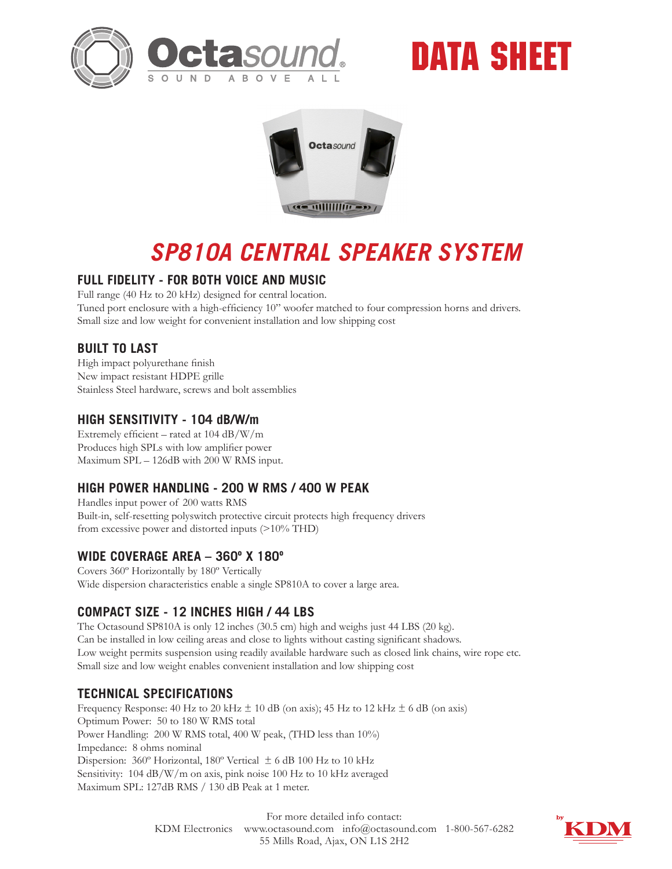





# *SP810A CENTRAL SPEAKER SYSTEM*

## **FULL FIDELITY - FOR BOTH VOICE AND MUSIC**

Full range (40 Hz to 20 kHz) designed for central location. Tuned port enclosure with a high-efficiency 10" woofer matched to four compression horns and drivers. Small size and low weight for convenient installation and low shipping cost

## **BUILT TO LAST**

High impact polyurethane finish New impact resistant HDPE grille Stainless Steel hardware, screws and bolt assemblies

#### **HIGH SENSITIVITY - 104 dB/W/m**

Extremely efficient – rated at 104 dB/W/m Produces high SPLs with low amplifier power Maximum SPL – 126dB with 200 W RMS input.

## **HIGH POWER HANDLING - 200 W RMS / 400 W PEAK**

Handles input power of 200 watts RMS Built-in, self-resetting polyswitch protective circuit protects high frequency drivers from excessive power and distorted inputs (>10% THD)

#### **WIDE COVERAGE AREA – 360º X 180º**

Covers 360º Horizontally by 180º Vertically Wide dispersion characteristics enable a single SP810A to cover a large area.

## **COMPACT SIZE - 12 INCHES HIGH / 44 LBS**

The Octasound SP810A is only 12 inches (30.5 cm) high and weighs just 44 LBS (20 kg). Can be installed in low ceiling areas and close to lights without casting significant shadows. Low weight permits suspension using readily available hardware such as closed link chains, wire rope etc. Small size and low weight enables convenient installation and low shipping cost

## **TECHNICAL SPECIFICATIONS**

Frequency Response: 40 Hz to 20 kHz  $\pm$  10 dB (on axis); 45 Hz to 12 kHz  $\pm$  6 dB (on axis) Optimum Power: 50 to 180 W RMS total Power Handling: 200 W RMS total, 400 W peak, (THD less than 10%) Impedance: 8 ohms nominal Dispersion: 360º Horizontal, 180º Vertical ± 6 dB 100 Hz to 10 kHz Sensitivity: 104 dB/W/m on axis, pink noise 100 Hz to 10 kHz averaged Maximum SPL: 127dB RMS / 130 dB Peak at 1 meter.